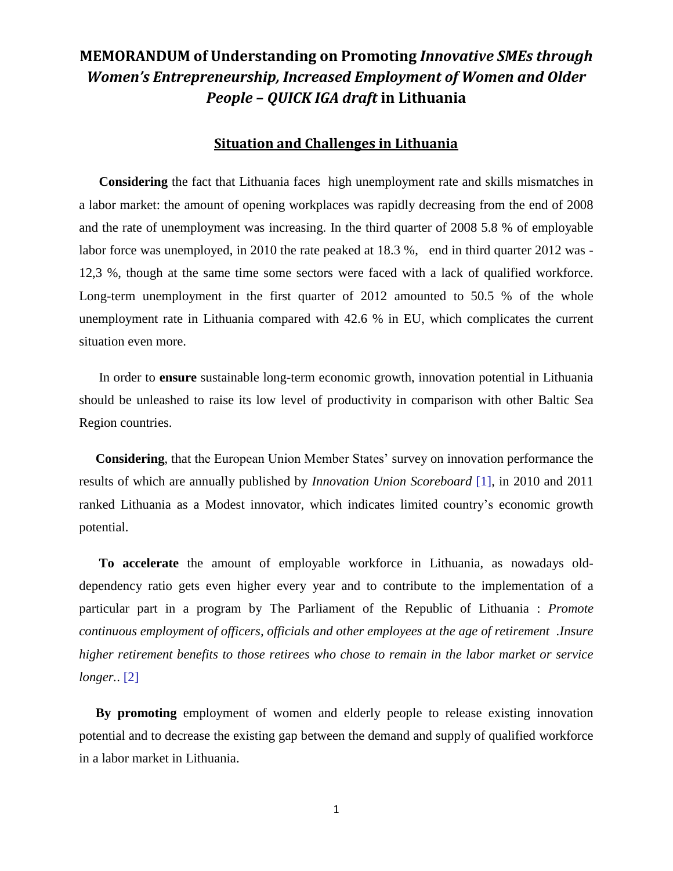# **MEMORANDUM of Understanding on Promoting** *Innovative SMEs through Women's Entrepreneurship, Increased Employment of Women and Older People – QUICK IGA draft* **in Lithuania**

### **Situation and Challenges in Lithuania**

 **Considering** the fact that Lithuania faces high unemployment rate and skills mismatches in a labor market: the amount of opening workplaces was rapidly decreasing from the end of 2008 and the rate of unemployment was increasing. In the third quarter of 2008 5.8 % of employable labor force was unemployed, in 2010 the rate peaked at 18.3 %, end in third quarter 2012 was - 12,3 %, though at the same time some sectors were faced with a lack of qualified workforce. Long-term unemployment in the first quarter of 2012 amounted to 50.5 % of the whole unemployment rate in Lithuania compared with 42.6 % in EU, which complicates the current situation even more.

 In order to **ensure** sustainable long-term economic growth, innovation potential in Lithuania should be unleashed to raise its low level of productivity in comparison with other Baltic Sea Region countries.

 **Considering**, that the European Union Member States' survey on innovation performance the results of which are annually published by *Innovation Union Scoreboard* [1], in 2010 and 2011 ranked Lithuania as a Modest innovator, which indicates limited country's economic growth potential.

 **To accelerate** the amount of employable workforce in Lithuania, as nowadays olddependency ratio gets even higher every year and to contribute to the implementation of a particular part in a program by The Parliament of the Republic of Lithuania : *Promote continuous employment of officers, officials and other employees at the age of retirement .Insure higher retirement benefits to those retirees who chose to remain in the labor market or service longer.*. [2]

 **By promoting** employment of women and elderly people to release existing innovation potential and to decrease the existing gap between the demand and supply of qualified workforce in a labor market in Lithuania.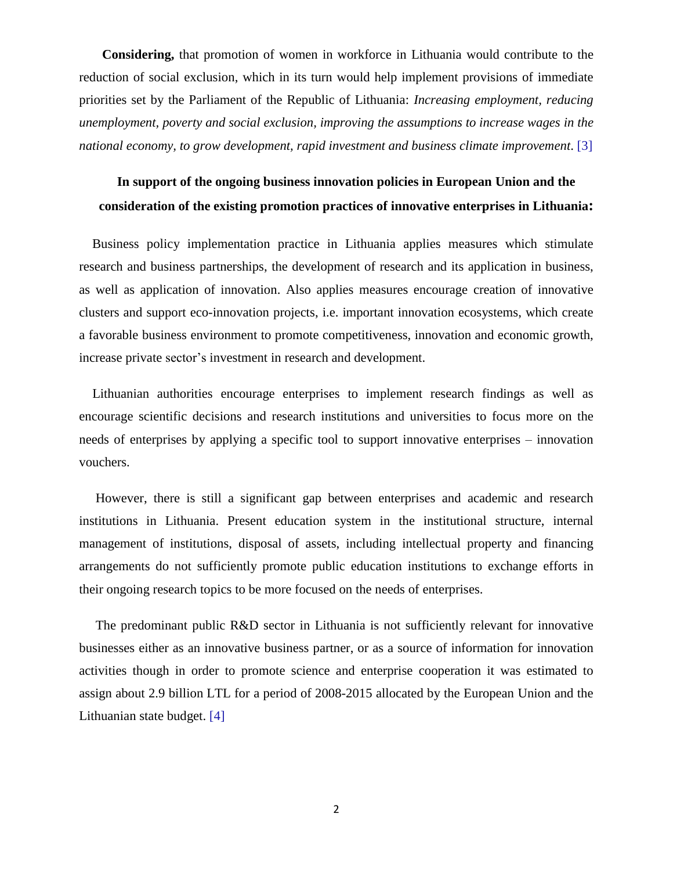**Considering,** that promotion of women in workforce in Lithuania would contribute to the reduction of social exclusion, which in its turn would help implement provisions of immediate priorities set by the Parliament of the Republic of Lithuania: *Increasing employment, reducing unemployment, poverty and social exclusion, improving the assumptions to increase wages in the national economy, to grow development, rapid investment and business climate improvement*. [3]

## **In support of the ongoing business innovation policies in European Union and the consideration of the existing promotion practices of innovative enterprises in Lithuania:**

 Business policy implementation practice in Lithuania applies measures which stimulate research and business partnerships, the development of research and its application in business, as well as application of innovation. Also applies measures encourage creation of innovative clusters and support eco-innovation projects, i.e. important innovation ecosystems, which create a favorable business environment to promote competitiveness, innovation and economic growth, increase private sector's investment in research and development.

 Lithuanian authorities encourage enterprises to implement research findings as well as encourage scientific decisions and research institutions and universities to focus more on the needs of enterprises by applying a specific tool to support innovative enterprises – innovation vouchers.

 However, there is still a significant gap between enterprises and academic and research institutions in Lithuania. Present education system in the institutional structure, internal management of institutions, disposal of assets, including intellectual property and financing arrangements do not sufficiently promote public education institutions to exchange efforts in their ongoing research topics to be more focused on the needs of enterprises.

 The predominant public R&D sector in Lithuania is not sufficiently relevant for innovative businesses either as an innovative business partner, or as a source of information for innovation activities though in order to promote science and enterprise cooperation it was estimated to assign about 2.9 billion LTL for a period of 2008-2015 allocated by the European Union and the Lithuanian state budget. [4]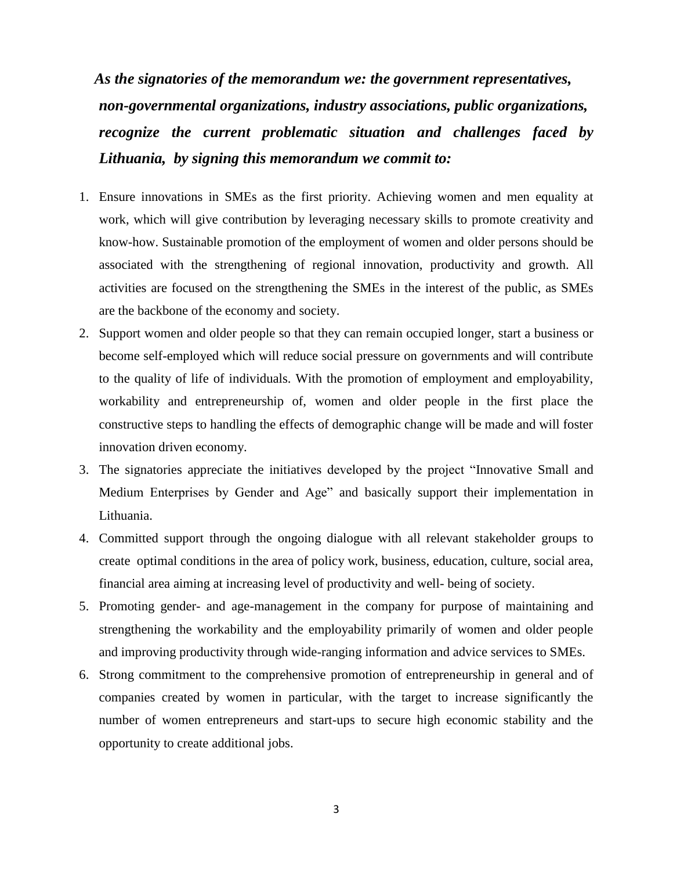*As the signatories of the memorandum we: the government representatives, non-governmental organizations, industry associations, public organizations, recognize the current problematic situation and challenges faced by Lithuania, by signing this memorandum we commit to:*

- 1. Ensure innovations in SMEs as the first priority. Achieving women and men equality at work, which will give contribution by leveraging necessary skills to promote creativity and know-how. Sustainable promotion of the employment of women and older persons should be associated with the strengthening of regional innovation, productivity and growth. All activities are focused on the strengthening the SMEs in the interest of the public, as SMEs are the backbone of the economy and society.
- 2. Support women and older people so that they can remain occupied longer, start a business or become self-employed which will reduce social pressure on governments and will contribute to the quality of life of individuals. With the promotion of employment and employability, workability and entrepreneurship of, women and older people in the first place the constructive steps to handling the effects of demographic change will be made and will foster innovation driven economy.
- 3. The signatories appreciate the initiatives developed by the project "Innovative Small and Medium Enterprises by Gender and Age" and basically support their implementation in Lithuania.
- 4. Committed support through the ongoing dialogue with all relevant stakeholder groups to create optimal conditions in the area of policy work, business, education, culture, social area, financial area aiming at increasing level of productivity and well- being of society.
- 5. Promoting gender- and age-management in the company for purpose of maintaining and strengthening the workability and the employability primarily of women and older people and improving productivity through wide-ranging information and advice services to SMEs.
- 6. Strong commitment to the comprehensive promotion of entrepreneurship in general and of companies created by women in particular, with the target to increase significantly the number of women entrepreneurs and start-ups to secure high economic stability and the opportunity to create additional jobs.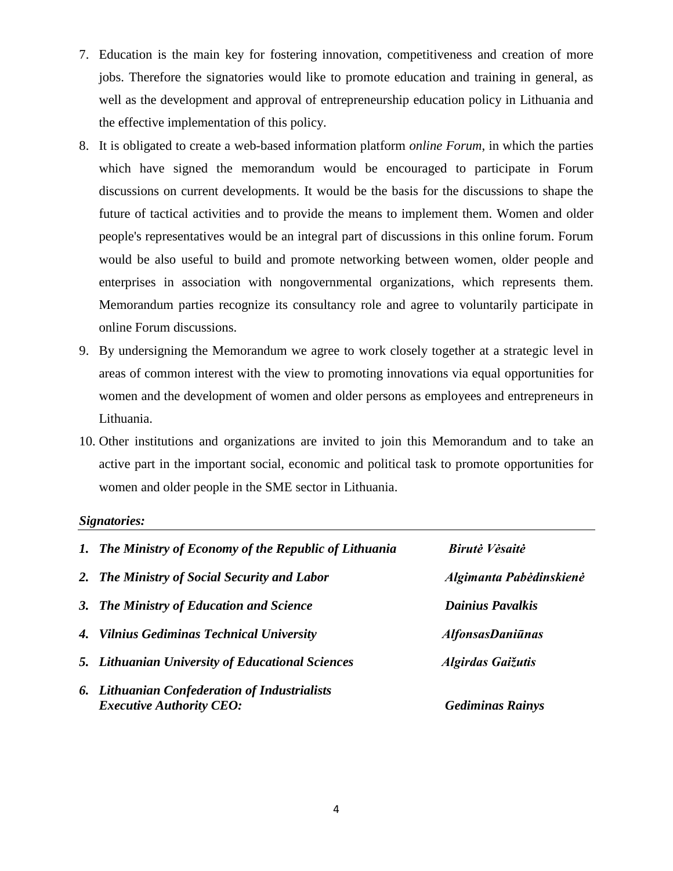- 7. Education is the main key for fostering innovation, competitiveness and creation of more jobs. Therefore the signatories would like to promote education and training in general, as well as the development and approval of entrepreneurship education policy in Lithuania and the effective implementation of this policy.
- 8. It is obligated to create a web-based information platform *online Forum*, in which the parties which have signed the memorandum would be encouraged to participate in Forum discussions on current developments. It would be the basis for the discussions to shape the future of tactical activities and to provide the means to implement them. Women and older people's representatives would be an integral part of discussions in this online forum. Forum would be also useful to build and promote networking between women, older people and enterprises in association with nongovernmental organizations, which represents them. Memorandum parties recognize its consultancy role and agree to voluntarily participate in online Forum discussions.
- 9. By undersigning the Memorandum we agree to work closely together at a strategic level in areas of common interest with the view to promoting innovations via equal opportunities for women and the development of women and older persons as employees and entrepreneurs in Lithuania.
- 10. Other institutions and organizations are invited to join this Memorandum and to take an active part in the important social, economic and political task to promote opportunities for women and older people in the SME sector in Lithuania.

#### *Signatories:*

| 1. The Ministry of Economy of the Republic of Lithuania                          | <b>Birutė Vėsaitė</b>    |
|----------------------------------------------------------------------------------|--------------------------|
| 2. The Ministry of Social Security and Labor                                     | Algimanta Pabėdinskienė  |
| 3. The Ministry of Education and Science                                         | <b>Dainius Pavalkis</b>  |
| 4. Vilnius Gediminas Technical University                                        | <b>AlfonsasDaniūnas</b>  |
| 5. Lithuanian University of Educational Sciences                                 | <b>Algirdas Gaižutis</b> |
| 6. Lithuanian Confederation of Industrialists<br><b>Executive Authority CEO:</b> | <b>Gediminas Rainys</b>  |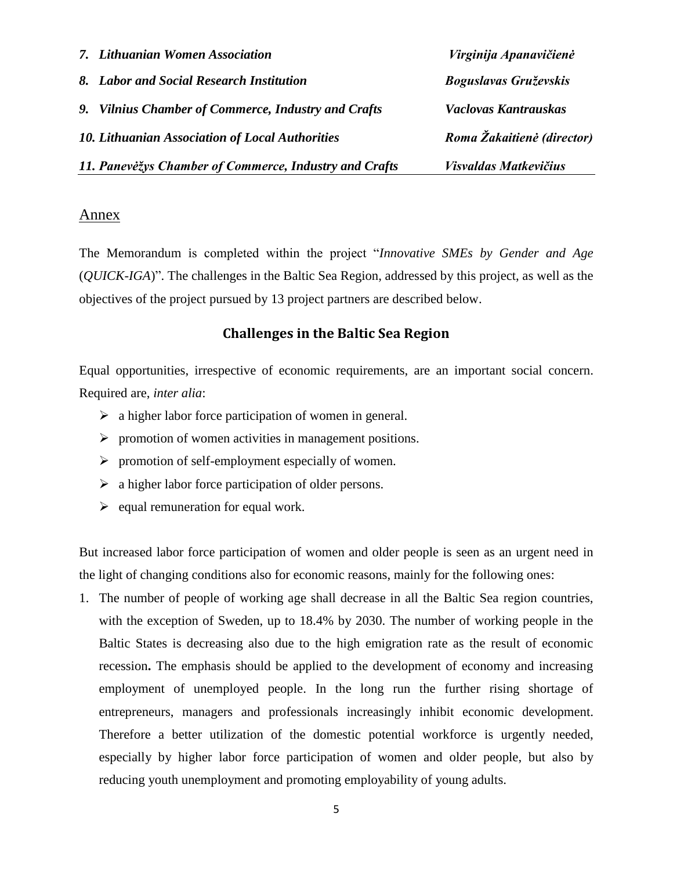| 7. Lithuanian Women Association                        | Virginija Apanavičienė              |
|--------------------------------------------------------|-------------------------------------|
| 8. Labor and Social Research Institution               | <b>Boguslavas Gruževskis</b>        |
| 9. Vilnius Chamber of Commerce, Industry and Crafts    | Vaclovas Kantrauskas                |
| <b>10. Lithuanian Association of Local Authorities</b> | Roma Žakaitienė (director)          |
| 11. Panevėžys Chamber of Commerce, Industry and Crafts | <i><b>Visvaldas Matkevičius</b></i> |

#### Annex

The Memorandum is completed within the project "*Innovative SMEs by Gender and Age* (*QUICK-IGA*)". The challenges in the Baltic Sea Region, addressed by this project, as well as the objectives of the project pursued by 13 project partners are described below.

## **Challenges in the Baltic Sea Region**

Equal opportunities, irrespective of economic requirements, are an important social concern. Required are, *inter alia*:

- $\triangleright$  a higher labor force participation of women in general.
- $\triangleright$  promotion of women activities in management positions.
- $\triangleright$  promotion of self-employment especially of women.
- $\triangleright$  a higher labor force participation of older persons.
- $\triangleright$  equal remuneration for equal work.

But increased labor force participation of women and older people is seen as an urgent need in the light of changing conditions also for economic reasons, mainly for the following ones:

1. The number of people of working age shall decrease in all the Baltic Sea region countries, with the exception of Sweden, up to 18.4% by 2030. The number of working people in the Baltic States is decreasing also due to the high emigration rate as the result of economic recession**.** The emphasis should be applied to the development of economy and increasing employment of unemployed people. In the long run the further rising shortage of entrepreneurs, managers and professionals increasingly inhibit economic development. Therefore a better utilization of the domestic potential workforce is urgently needed, especially by higher labor force participation of women and older people, but also by reducing youth unemployment and promoting employability of young adults.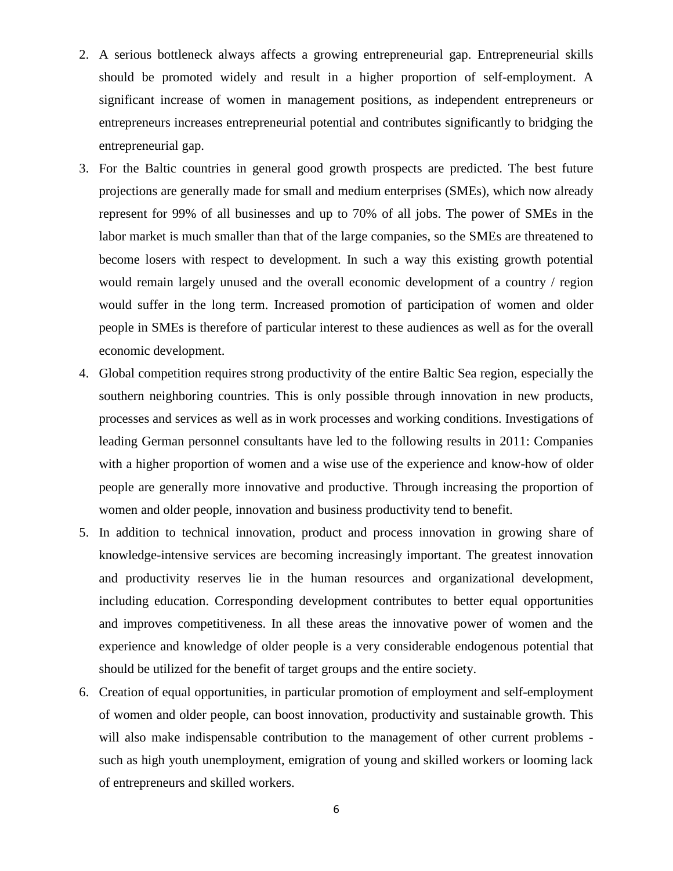- 2. A serious bottleneck always affects a growing entrepreneurial gap. Entrepreneurial skills should be promoted widely and result in a higher proportion of self-employment. A significant increase of women in management positions, as independent entrepreneurs or entrepreneurs increases entrepreneurial potential and contributes significantly to bridging the entrepreneurial gap.
- 3. For the Baltic countries in general good growth prospects are predicted. The best future projections are generally made for small and medium enterprises (SMEs), which now already represent for 99% of all businesses and up to 70% of all jobs. The power of SMEs in the labor market is much smaller than that of the large companies, so the SMEs are threatened to become losers with respect to development. In such a way this existing growth potential would remain largely unused and the overall economic development of a country / region would suffer in the long term. Increased promotion of participation of women and older people in SMEs is therefore of particular interest to these audiences as well as for the overall economic development.
- 4. Global competition requires strong productivity of the entire Baltic Sea region, especially the southern neighboring countries. This is only possible through innovation in new products, processes and services as well as in work processes and working conditions. Investigations of leading German personnel consultants have led to the following results in 2011: Companies with a higher proportion of women and a wise use of the experience and know-how of older people are generally more innovative and productive. Through increasing the proportion of women and older people, innovation and business productivity tend to benefit.
- 5. In addition to technical innovation, product and process innovation in growing share of knowledge-intensive services are becoming increasingly important. The greatest innovation and productivity reserves lie in the human resources and organizational development, including education. Corresponding development contributes to better equal opportunities and improves competitiveness. In all these areas the innovative power of women and the experience and knowledge of older people is a very considerable endogenous potential that should be utilized for the benefit of target groups and the entire society.
- 6. Creation of equal opportunities, in particular promotion of employment and self-employment of women and older people, can boost innovation, productivity and sustainable growth. This will also make indispensable contribution to the management of other current problems such as high youth unemployment, emigration of young and skilled workers or looming lack of entrepreneurs and skilled workers.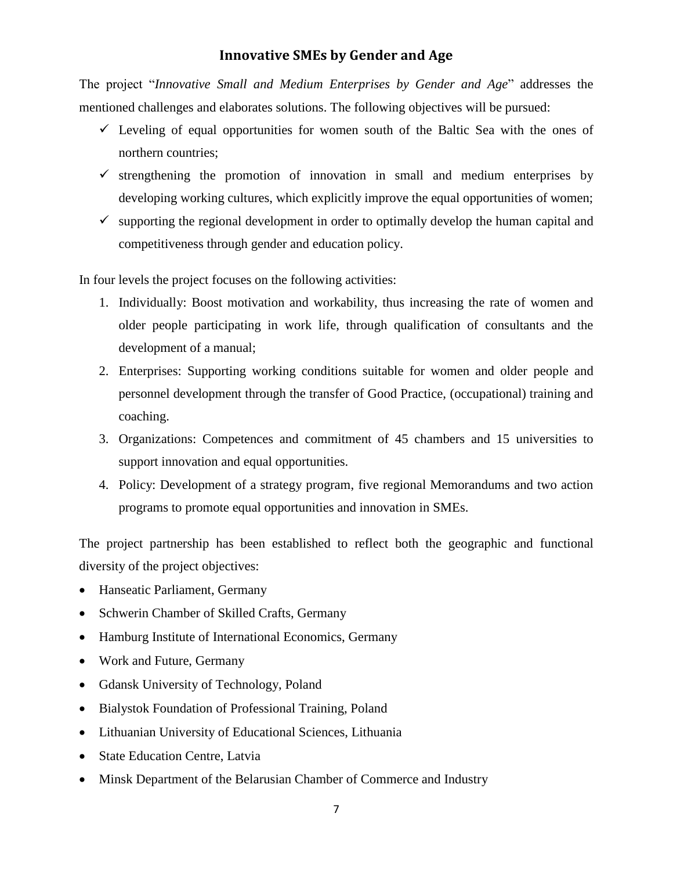### **Innovative SMEs by Gender and Age**

The project "*Innovative Small and Medium Enterprises by Gender and Age*" addresses the mentioned challenges and elaborates solutions. The following objectives will be pursued:

- $\checkmark$  Leveling of equal opportunities for women south of the Baltic Sea with the ones of northern countries;
- $\checkmark$  strengthening the promotion of innovation in small and medium enterprises by developing working cultures, which explicitly improve the equal opportunities of women;
- $\checkmark$  supporting the regional development in order to optimally develop the human capital and competitiveness through gender and education policy.

In four levels the project focuses on the following activities:

- 1. Individually: Boost motivation and workability, thus increasing the rate of women and older people participating in work life, through qualification of consultants and the development of a manual;
- 2. Enterprises: Supporting working conditions suitable for women and older people and personnel development through the transfer of Good Practice, (occupational) training and coaching.
- 3. Organizations: Competences and commitment of 45 chambers and 15 universities to support innovation and equal opportunities.
- 4. Policy: Development of a strategy program, five regional Memorandums and two action programs to promote equal opportunities and innovation in SMEs.

The project partnership has been established to reflect both the geographic and functional diversity of the project objectives:

- Hanseatic Parliament, Germany
- Schwerin Chamber of Skilled Crafts, Germany
- Hamburg Institute of International Economics, Germany
- Work and Future, Germany
- Gdansk University of Technology, Poland
- Bialystok Foundation of Professional Training, Poland
- Lithuanian University of Educational Sciences, Lithuania
- State Education Centre, Latvia
- Minsk Department of the Belarusian Chamber of Commerce and Industry